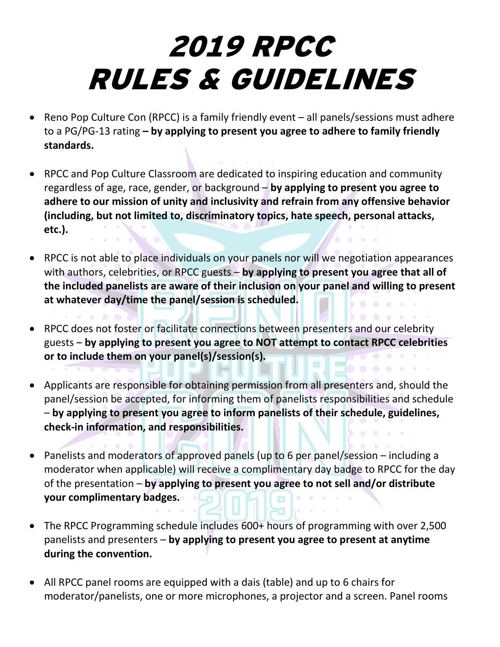## 2019 RPCC RULES & GUIDELINES

- Reno Pop Culture Con (RPCC) is a family friendly event all panels/sessions must adhere to a PG/PG-13 rating **– by applying to present you agree to adhere to family friendly standards.**
- RPCC and Pop Culture Classroom are dedicated to inspiring education and community regardless of age, race, gender, or background – **by applying to present you agree to adhere to our mission of unity and inclusivity and refrain from any offensive behavior (including, but not limited to, discriminatory topics, hate speech, personal attacks, etc.).**
- RPCC is not able to place individuals on your panels nor will we negotiation appearances with authors, celebrities, or RPCC guests – **by applying to present you agree that all of the included panelists are aware of their inclusion on your panel and willing to present at whatever day/time the panel/session is scheduled.**

**C** 

- RPCC does not foster or facilitate connections between presenters and our celebrity guests – **by applying to present you agree to NOT attempt to contact RPCC celebrities or to include them on your panel(s)/session(s).**
- Applicants are responsible for obtaining permission from all presenters and, should the panel/session be accepted, for informing them of panelists responsibilities and schedule – **by applying to present you agree to inform panelists of their schedule, guidelines, check-in information, and responsibilities.**
- Panelists and moderators of approved panels (up to 6 per panel/session including a moderator when applicable) will receive a complimentary day badge to RPCC for the day of the presentation – **by applying to present you agree to not sell and/or distribute your complimentary badges.**
- The RPCC Programming schedule includes 600+ hours of programming with over 2,500 panelists and presenters – **by applying to present you agree to present at anytime during the convention.**
- All RPCC panel rooms are equipped with a dais (table) and up to 6 chairs for moderator/panelists, one or more microphones, a projector and a screen. Panel rooms